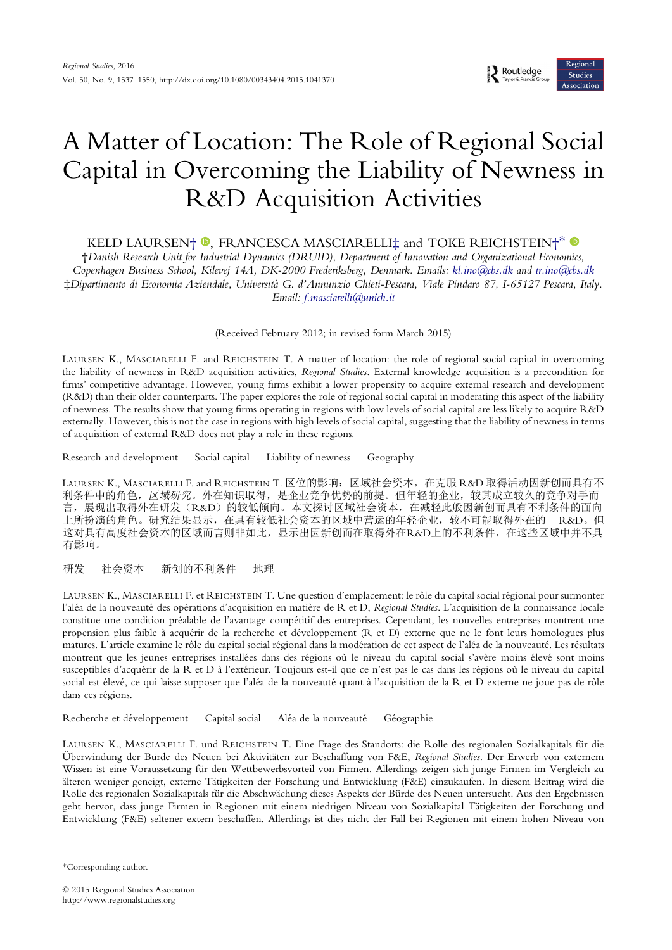

# A Matter of Location: The Role of Regional Social Capital in Overcoming the Liability of Newness in R&D Acquisition Activities

KELD LAURSEN† <sup>®</sup>, FRANCESCA MASCIARELLI<sup>†</sup> and TOKE REICHSTEIN†<sup>\*</sup>

†Danish Research Unit for Industrial Dynamics (DRUID), Department of Innovation and Organizational Economics, Copenhagen Business School, Kilevej 14A, DK-2000 Frederiksberg, Denmark. Emails: [kl.ino@cbs.dk](mailto:kl.ino@cbs.dk) and [tr.ino@cbs.dk](mailto:tr.ino@cbs.dk) ‡Dipartimento di Economia Aziendale, Università G. d'Annunzio Chieti-Pescara, Viale Pindaro 87, I-65127 Pescara, Italy. Email: [f.masciarelli@unich.it](mailto:f.masciarelli@unich.it)

(Received February 2012; in revised form March 2015)

LAURSEN K., MASCIARELLI F. and REICHSTEIN T. A matter of location: the role of regional social capital in overcoming the liability of newness in R&D acquisition activities, Regional Studies. External knowledge acquisition is a precondition for firms' competitive advantage. However, young firms exhibit a lower propensity to acquire external research and development (R&D) than their older counterparts. The paper explores the role of regional social capital in moderating this aspect of the liability of newness. The results show that young firms operating in regions with low levels of social capital are less likely to acquire R&D externally. However, this is not the case in regions with high levels of social capital, suggesting that the liability of newness in terms of acquisition of external R&D does not play a role in these regions.

Research and development Social capital Liability of newness Geography

LAURSEN K., MASCIARELLI F. and REICHSTEIN T. 区位的影响:区域社会资本,在克服 R&D 取得活动因新创而具有不 利条件中的角色, 区域研究。外在知识取得, 是企业竞争优势的前提。但年轻的企业, 较其成立较久的竞争对手而 言,展现出取得外在研发(R&D)的较低倾向。本文探讨区域社会资本,在减轻此般因新创而具有不利条件的面向 上所扮演的角色。研究结果显示,在具有较低社会资本的区域中营运的年轻企业,较不可能取得外在的 R&D。但 这对具有高度社会资本的区域而言则非如此,显示出因新创而在取得外在R&D上的不利条件,在这些区域中并不具 有影响。

研发 社会资本 新创的不利条件 地理

LAURSEN K., MASCIARELLI F. et REICHSTEIN T. Une question d'emplacement: le rôle du capital social régional pour surmonter l'aléa de la nouveauté des opérations d'acquisition en matière de R et D, Regional Studies. L'acquisition de la connaissance locale constitue une condition préalable de l'avantage compétitif des entreprises. Cependant, les nouvelles entreprises montrent une propension plus faible à acquérir de la recherche et développement (R et D) externe que ne le font leurs homologues plus matures. L'article examine le rôle du capital social régional dans la modération de cet aspect de l'aléa de la nouveauté. Les résultats montrent que les jeunes entreprises installées dans des régions où le niveau du capital social s'avère moins élevé sont moins susceptibles d'acquérir de la R et D à l'extérieur. Toujours est-il que ce n'est pas le cas dans les régions où le niveau du capital social est élevé, ce qui laisse supposer que l'aléa de la nouveauté quant à l'acquisition de la R et D externe ne joue pas de rôle dans ces régions.

Recherche et développement Capital social Aléa de la nouveauté Géographie

LAURSEN K., MASCIARELLI F. und REICHSTEIN T. Eine Frage des Standorts: die Rolle des regionalen Sozialkapitals für die Überwindung der Bürde des Neuen bei Aktivitäten zur Beschaffung von F&E, Regional Studies. Der Erwerb von externem Wissen ist eine Voraussetzung für den Wettbewerbsvorteil von Firmen. Allerdings zeigen sich junge Firmen im Vergleich zu älteren weniger geneigt, externe Tätigkeiten der Forschung und Entwicklung (F&E) einzukaufen. In diesem Beitrag wird die Rolle des regionalen Sozialkapitals für die Abschwächung dieses Aspekts der Bürde des Neuen untersucht. Aus den Ergebnissen geht hervor, dass junge Firmen in Regionen mit einem niedrigen Niveau von Sozialkapital Tätigkeiten der Forschung und Entwicklung (F&E) seltener extern beschaffen. Allerdings ist dies nicht der Fall bei Regionen mit einem hohen Niveau von

\*Corresponding author.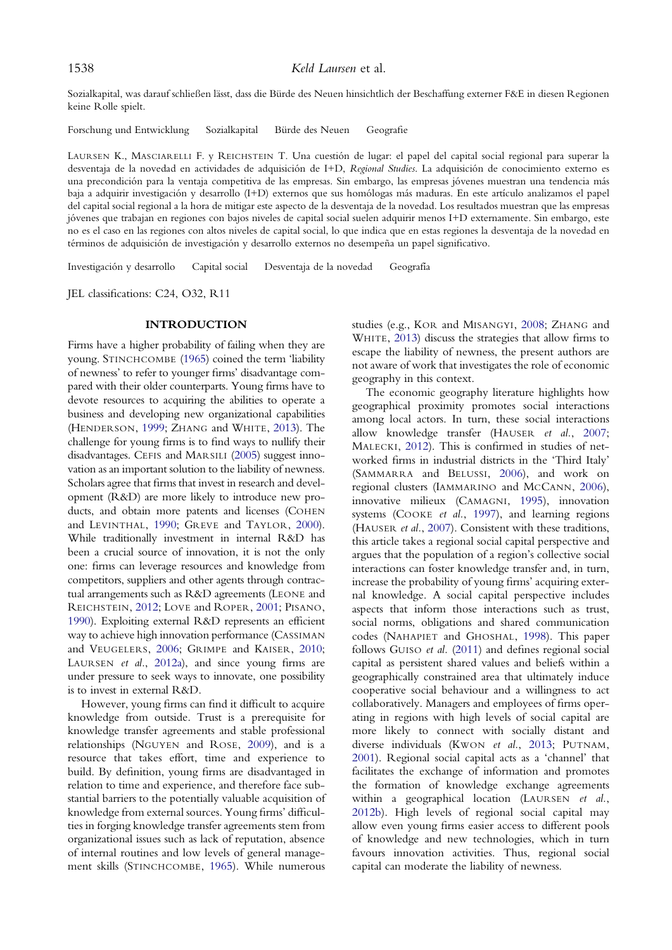1538 Keld Laursen et al.

Sozialkapital, was darauf schließen lässt, dass die Bürde des Neuen hinsichtlich der Beschaffung externer F&E in diesen Regionen keine Rolle spielt.

Forschung und Entwicklung Sozialkapital Bürde des Neuen Geografie

LAURSEN K., MASCIARELLI F. y REICHSTEIN T. Una cuestión de lugar: el papel del capital social regional para superar la desventaja de la novedad en actividades de adquisición de I+D, Regional Studies. La adquisición de conocimiento externo es una precondición para la ventaja competitiva de las empresas. Sin embargo, las empresas jóvenes muestran una tendencia más baja a adquirir investigación y desarrollo (I+D) externos que sus homólogas más maduras. En este artículo analizamos el papel del capital social regional a la hora de mitigar este aspecto de la desventaja de la novedad. Los resultados muestran que las empresas jóvenes que trabajan en regiones con bajos niveles de capital social suelen adquirir menos I+D externamente. Sin embargo, este no es el caso en las regiones con altos niveles de capital social, lo que indica que en estas regiones la desventaja de la novedad en términos de adquisición de investigación y desarrollo externos no desempeña un papel significativo.

Investigación y desarrollo Capital social Desventaja de la novedad Geografía

JEL classifications: C24, O32, R11

#### INTRODUCTION

Firms have a higher probability of failing when they are young. STINCHCOMBE [\(1965](#page-13-0)) coined the term 'liability of newness' to refer to younger firms' disadvantage compared with their older counterparts. Young firms have to devote resources to acquiring the abilities to operate a business and developing new organizational capabilities (HENDERSON, [1999;](#page-12-0) ZHANG and WHITE, [2013](#page-13-0)). The challenge for young firms is to find ways to nullify their disadvantages. CEFIS and MARSILI ([2005\)](#page-11-0) suggest innovation as an important solution to the liability of newness. Scholars agree that firms that invest in research and development (R&D) are more likely to introduce new products, and obtain more patents and licenses (COHEN and LEVINTHAL, [1990](#page-11-0); GREVE and TAYLOR, [2000](#page-11-0)). While traditionally investment in internal R&D has been a crucial source of innovation, it is not the only one: firms can leverage resources and knowledge from competitors, suppliers and other agents through contractual arrangements such as R&D agreements (LEONE and REICHSTEIN, [2012](#page-12-0); LOVE and ROPER, [2001](#page-12-0); PISANO, [1990](#page-13-0)). Exploiting external R&D represents an efficient way to achieve high innovation performance (CASSIMAN and VEUGELERS, [2006;](#page-11-0) GRIMPE and KAISER, [2010](#page-11-0); LAURSEN et al., [2012a](#page-12-0)), and since young firms are under pressure to seek ways to innovate, one possibility is to invest in external R&D.

However, young firms can find it difficult to acquire knowledge from outside. Trust is a prerequisite for knowledge transfer agreements and stable professional relationships (NGUYEN and ROSE, [2009\)](#page-12-0), and is a resource that takes effort, time and experience to build. By definition, young firms are disadvantaged in relation to time and experience, and therefore face substantial barriers to the potentially valuable acquisition of knowledge from external sources. Young firms' difficulties in forging knowledge transfer agreements stem from organizational issues such as lack of reputation, absence of internal routines and low levels of general management skills (STINCHCOMBE, [1965](#page-13-0)). While numerous

studies (e.g., KOR and MISANGYI, [2008](#page-12-0); ZHANG and WHITE, [2013\)](#page-13-0) discuss the strategies that allow firms to escape the liability of newness, the present authors are not aware of work that investigates the role of economic geography in this context.

The economic geography literature highlights how geographical proximity promotes social interactions among local actors. In turn, these social interactions allow knowledge transfer (HAUSER et al., [2007](#page-12-0); MALECKI, [2012\)](#page-12-0). This is confirmed in studies of networked firms in industrial districts in the 'Third Italy' (SAMMARRA and BELUSSI, [2006](#page-13-0)), and work on regional clusters (IAMMARINO and MCCANN, [2006](#page-12-0)), innovative milieux (CAMAGNI, [1995](#page-11-0)), innovation systems (COOKE et al., [1997\)](#page-11-0), and learning regions (HAUSER et al., [2007](#page-12-0)). Consistent with these traditions, this article takes a regional social capital perspective and argues that the population of a region's collective social interactions can foster knowledge transfer and, in turn, increase the probability of young firms' acquiring external knowledge. A social capital perspective includes aspects that inform those interactions such as trust, social norms, obligations and shared communication codes (NAHAPIET and GHOSHAL, [1998\)](#page-12-0). This paper follows GUISO et al. ([2011](#page-12-0)) and defines regional social capital as persistent shared values and beliefs within a geographically constrained area that ultimately induce cooperative social behaviour and a willingness to act collaboratively. Managers and employees of firms operating in regions with high levels of social capital are more likely to connect with socially distant and diverse individuals (KWON et al., [2013](#page-12-0); PUTNAM, [2001\)](#page-13-0). Regional social capital acts as a 'channel' that facilitates the exchange of information and promotes the formation of knowledge exchange agreements within a geographical location (LAURSEN et al., [2012b\)](#page-12-0). High levels of regional social capital may allow even young firms easier access to different pools of knowledge and new technologies, which in turn favours innovation activities. Thus, regional social capital can moderate the liability of newness.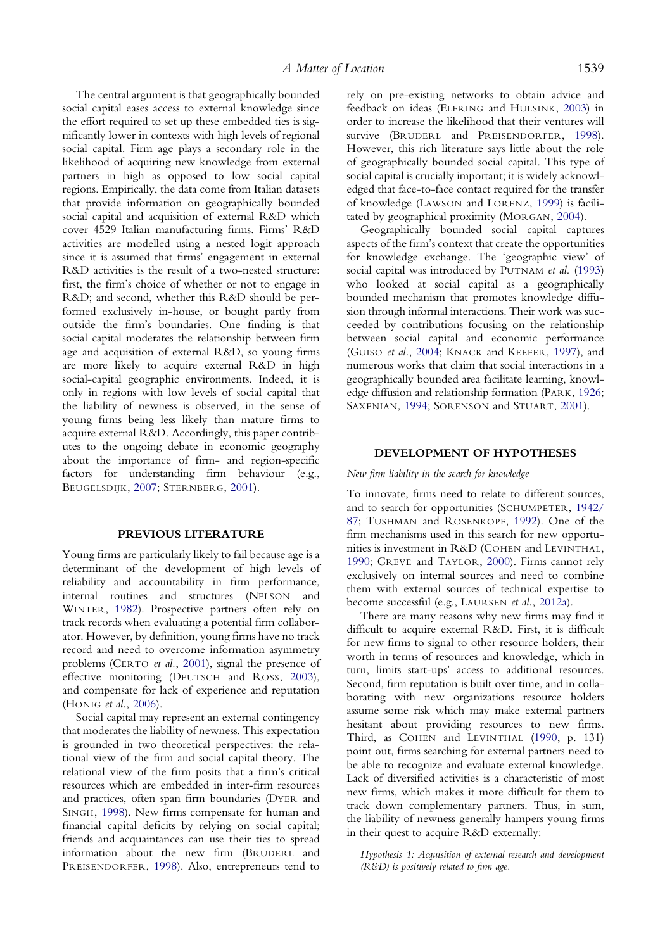The central argument is that geographically bounded social capital eases access to external knowledge since the effort required to set up these embedded ties is significantly lower in contexts with high levels of regional social capital. Firm age plays a secondary role in the likelihood of acquiring new knowledge from external partners in high as opposed to low social capital regions. Empirically, the data come from Italian datasets that provide information on geographically bounded social capital and acquisition of external R&D which cover 4529 Italian manufacturing firms. Firms' R&D activities are modelled using a nested logit approach since it is assumed that firms' engagement in external R&D activities is the result of a two-nested structure: first, the firm's choice of whether or not to engage in R&D; and second, whether this R&D should be performed exclusively in-house, or bought partly from outside the firm's boundaries. One finding is that social capital moderates the relationship between firm age and acquisition of external R&D, so young firms are more likely to acquire external R&D in high social-capital geographic environments. Indeed, it is only in regions with low levels of social capital that the liability of newness is observed, in the sense of young firms being less likely than mature firms to acquire external R&D. Accordingly, this paper contributes to the ongoing debate in economic geography about the importance of firm- and region-specific factors for understanding firm behaviour (e.g., BEUGELSDIJK, [2007](#page-11-0); STERNBERG, [2001\)](#page-13-0).

## PREVIOUS LITERATURE

Young firms are particularly likely to fail because age is a determinant of the development of high levels of reliability and accountability in firm performance, internal routines and structures (NELSON and WINTER, [1982](#page-12-0)). Prospective partners often rely on track records when evaluating a potential firm collaborator. However, by definition, young firms have no track record and need to overcome information asymmetry problems (CERTO et al., [2001\)](#page-11-0), signal the presence of effective monitoring (DEUTSCH and ROSS, [2003\)](#page-11-0), and compensate for lack of experience and reputation (HONIG et al., [2006](#page-12-0)).

Social capital may represent an external contingency that moderates the liability of newness. This expectation is grounded in two theoretical perspectives: the relational view of the firm and social capital theory. The relational view of the firm posits that a firm's critical resources which are embedded in inter-firm resources and practices, often span firm boundaries (DYER and SINGH, [1998](#page-11-0)). New firms compensate for human and financial capital deficits by relying on social capital; friends and acquaintances can use their ties to spread information about the new firm (BRUDERL and PREISENDORFER, [1998\)](#page-11-0). Also, entrepreneurs tend to

rely on pre-existing networks to obtain advice and feedback on ideas (ELFRING and HULSINK, [2003\)](#page-11-0) in order to increase the likelihood that their ventures will survive (BRUDERL and PREISENDORFER, [1998\)](#page-11-0). However, this rich literature says little about the role of geographically bounded social capital. This type of social capital is crucially important; it is widely acknowledged that face-to-face contact required for the transfer of knowledge (LAWSON and LORENZ, [1999\)](#page-12-0) is facilitated by geographical proximity (MORGAN, [2004](#page-12-0)).

Geographically bounded social capital captures aspects of the firm's context that create the opportunities for knowledge exchange. The 'geographic view' of social capital was introduced by PUTNAM et al. ([1993](#page-13-0)) who looked at social capital as a geographically bounded mechanism that promotes knowledge diffusion through informal interactions. Their work was succeeded by contributions focusing on the relationship between social capital and economic performance (GUISO et al., [2004](#page-12-0); KNACK and KEEFER, [1997](#page-12-0)), and numerous works that claim that social interactions in a geographically bounded area facilitate learning, knowledge diffusion and relationship formation (PARK, [1926;](#page-12-0) SAXENIAN, [1994;](#page-13-0) SORENSON and STUART, [2001](#page-13-0)).

# DEVELOPMENT OF HYPOTHESES

## New firm liability in the search for knowledge

To innovate, firms need to relate to different sources, and to search for opportunities (SCHUMPETER, [1942/](#page-13-0) [87;](#page-13-0) TUSHMAN and ROSENKOPF, [1992\)](#page-13-0). One of the firm mechanisms used in this search for new opportunities is investment in R&D (COHEN and LEVINTHAL, [1990;](#page-11-0) GREVE and TAYLOR, [2000\)](#page-11-0). Firms cannot rely exclusively on internal sources and need to combine them with external sources of technical expertise to become successful (e.g., LAURSEN et al., [2012a](#page-12-0)).

There are many reasons why new firms may find it difficult to acquire external R&D. First, it is difficult for new firms to signal to other resource holders, their worth in terms of resources and knowledge, which in turn, limits start-ups' access to additional resources. Second, firm reputation is built over time, and in collaborating with new organizations resource holders assume some risk which may make external partners hesitant about providing resources to new firms. Third, as COHEN and LEVINTHAL [\(1990,](#page-11-0) p. 131) point out, firms searching for external partners need to be able to recognize and evaluate external knowledge. Lack of diversified activities is a characteristic of most new firms, which makes it more difficult for them to track down complementary partners. Thus, in sum, the liability of newness generally hampers young firms in their quest to acquire R&D externally:

Hypothesis 1: Acquisition of external research and development (R&D) is positively related to firm age.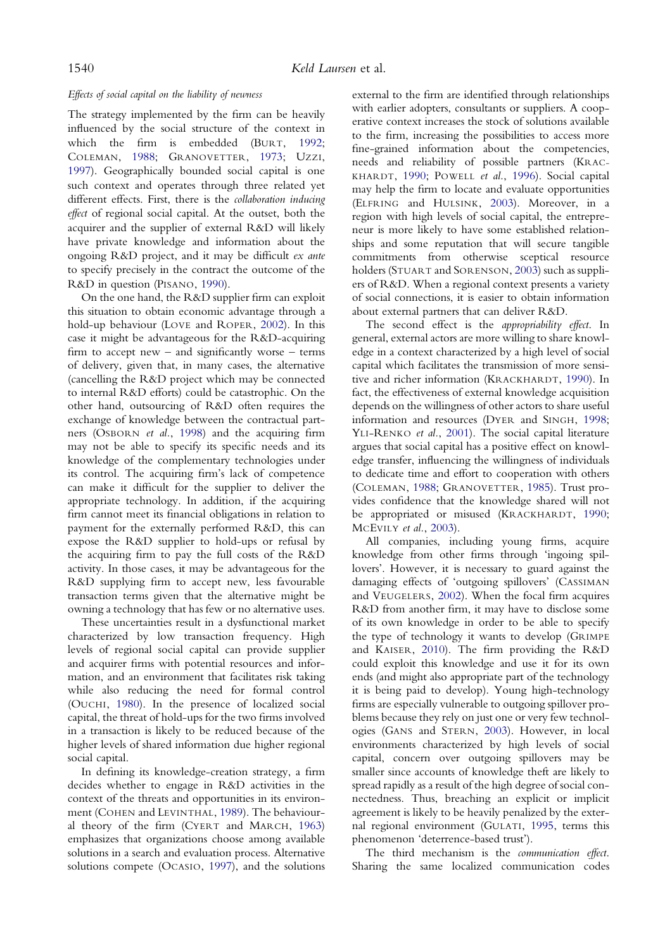# Effects of social capital on the liability of newness

The strategy implemented by the firm can be heavily influenced by the social structure of the context in which the firm is embedded (BURT, [1992](#page-11-0); COLEMAN, [1988](#page-11-0); GRANOVETTER, [1973;](#page-11-0) UZZI, [1997\)](#page-13-0). Geographically bounded social capital is one such context and operates through three related yet different effects. First, there is the collaboration inducing effect of regional social capital. At the outset, both the acquirer and the supplier of external R&D will likely have private knowledge and information about the ongoing R&D project, and it may be difficult ex ante to specify precisely in the contract the outcome of the R&D in question (PISANO, [1990](#page-13-0)).

On the one hand, the R&D supplier firm can exploit this situation to obtain economic advantage through a hold-up behaviour (LOVE and ROPER, [2002](#page-12-0)). In this case it might be advantageous for the R&D-acquiring firm to accept new – and significantly worse – terms of delivery, given that, in many cases, the alternative (cancelling the R&D project which may be connected to internal R&D efforts) could be catastrophic. On the other hand, outsourcing of R&D often requires the exchange of knowledge between the contractual partners (OSBORN et al., [1998](#page-12-0)) and the acquiring firm may not be able to specify its specific needs and its knowledge of the complementary technologies under its control. The acquiring firm's lack of competence can make it difficult for the supplier to deliver the appropriate technology. In addition, if the acquiring firm cannot meet its financial obligations in relation to payment for the externally performed R&D, this can expose the R&D supplier to hold-ups or refusal by the acquiring firm to pay the full costs of the R&D activity. In those cases, it may be advantageous for the R&D supplying firm to accept new, less favourable transaction terms given that the alternative might be owning a technology that has few or no alternative uses.

These uncertainties result in a dysfunctional market characterized by low transaction frequency. High levels of regional social capital can provide supplier and acquirer firms with potential resources and information, and an environment that facilitates risk taking while also reducing the need for formal control (OUCHI, [1980](#page-12-0)). In the presence of localized social capital, the threat of hold-ups for the two firms involved in a transaction is likely to be reduced because of the higher levels of shared information due higher regional social capital.

In defining its knowledge-creation strategy, a firm decides whether to engage in R&D activities in the context of the threats and opportunities in its environment (COHEN and LEVINTHAL, [1989](#page-11-0)). The behavioural theory of the firm (CYERT and MARCH, [1963\)](#page-11-0) emphasizes that organizations choose among available solutions in a search and evaluation process. Alternative solutions compete (OCASIO, [1997\)](#page-12-0), and the solutions

external to the firm are identified through relationships with earlier adopters, consultants or suppliers. A cooperative context increases the stock of solutions available to the firm, increasing the possibilities to access more fine-grained information about the competencies, needs and reliability of possible partners (KRAC-KHARDT, [1990](#page-12-0); POWELL et al., [1996](#page-13-0)). Social capital may help the firm to locate and evaluate opportunities (ELFRING and HULSINK, [2003](#page-11-0)). Moreover, in a region with high levels of social capital, the entrepreneur is more likely to have some established relationships and some reputation that will secure tangible commitments from otherwise sceptical resource holders (STUART and SORENSON, [2003\)](#page-13-0) such as suppliers of R&D. When a regional context presents a variety of social connections, it is easier to obtain information about external partners that can deliver R&D.

The second effect is the appropriability effect. In general, external actors are more willing to share knowledge in a context characterized by a high level of social capital which facilitates the transmission of more sensitive and richer information (KRACKHARDT, [1990\)](#page-12-0). In fact, the effectiveness of external knowledge acquisition depends on the willingness of other actors to share useful information and resources (DYER and SINGH, [1998](#page-11-0); YLI-RENKO et al., [2001\)](#page-13-0). The social capital literature argues that social capital has a positive effect on knowledge transfer, influencing the willingness of individuals to dedicate time and effort to cooperation with others (COLEMAN, [1988](#page-11-0); GRANOVETTER, [1985\)](#page-11-0). Trust provides confidence that the knowledge shared will not be appropriated or misused (KRACKHARDT, [1990](#page-12-0); MCEVILY et al., [2003](#page-12-0)).

All companies, including young firms, acquire knowledge from other firms through 'ingoing spillovers'. However, it is necessary to guard against the damaging effects of 'outgoing spillovers' (CASSIMAN and VEUGELERS, [2002\)](#page-11-0). When the focal firm acquires R&D from another firm, it may have to disclose some of its own knowledge in order to be able to specify the type of technology it wants to develop (GRIMPE and KAISER, [2010](#page-11-0)). The firm providing the R&D could exploit this knowledge and use it for its own ends (and might also appropriate part of the technology it is being paid to develop). Young high-technology firms are especially vulnerable to outgoing spillover problems because they rely on just one or very few technologies (GANS and STERN, [2003\)](#page-11-0). However, in local environments characterized by high levels of social capital, concern over outgoing spillovers may be smaller since accounts of knowledge theft are likely to spread rapidly as a result of the high degree of social connectedness. Thus, breaching an explicit or implicit agreement is likely to be heavily penalized by the external regional environment (GULATI, [1995,](#page-12-0) terms this phenomenon 'deterrence-based trust').

The third mechanism is the communication effect. Sharing the same localized communication codes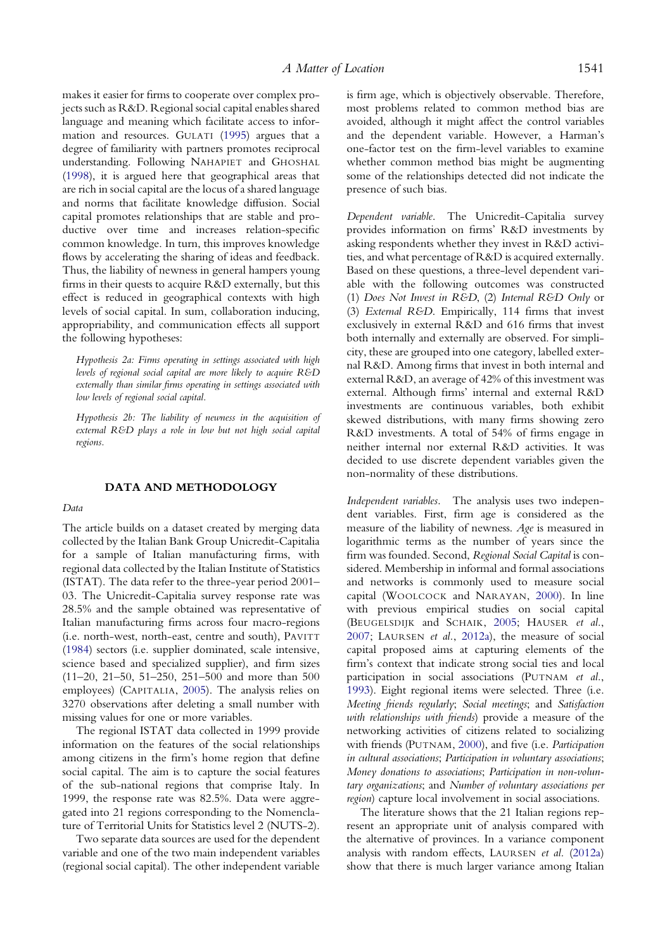makes it easier for firms to cooperate over complex projects such as R&D. Regional social capital enables shared language and meaning which facilitate access to information and resources. GULATI ([1995](#page-12-0)) argues that a degree of familiarity with partners promotes reciprocal understanding. Following NAHAPIET and GHOSHAL [\(1998\)](#page-12-0), it is argued here that geographical areas that are rich in social capital are the locus of a shared language and norms that facilitate knowledge diffusion. Social capital promotes relationships that are stable and productive over time and increases relation-specific common knowledge. In turn, this improves knowledge flows by accelerating the sharing of ideas and feedback. Thus, the liability of newness in general hampers young firms in their quests to acquire R&D externally, but this effect is reduced in geographical contexts with high levels of social capital. In sum, collaboration inducing, appropriability, and communication effects all support the following hypotheses:

Hypothesis 2a: Firms operating in settings associated with high levels of regional social capital are more likely to acquire R&D externally than similar firms operating in settings associated with low levels of regional social capital.

Hypothesis 2b: The liability of newness in the acquisition of external R&D plays a role in low but not high social capital regions.

## DATA AND METHODOLOGY

#### Data

The article builds on a dataset created by merging data collected by the Italian Bank Group Unicredit-Capitalia for a sample of Italian manufacturing firms, with regional data collected by the Italian Institute of Statistics (ISTAT). The data refer to the three-year period 2001– 03. The Unicredit-Capitalia survey response rate was 28.5% and the sample obtained was representative of Italian manufacturing firms across four macro-regions (i.e. north-west, north-east, centre and south), PAVITT [\(1984\)](#page-12-0) sectors (i.e. supplier dominated, scale intensive, science based and specialized supplier), and firm sizes (11–20, 21–50, 51–250, 251–500 and more than 500 employees) (CAPITALIA, [2005](#page-11-0)). The analysis relies on 3270 observations after deleting a small number with missing values for one or more variables.

The regional ISTAT data collected in 1999 provide information on the features of the social relationships among citizens in the firm's home region that define social capital. The aim is to capture the social features of the sub-national regions that comprise Italy. In 1999, the response rate was 82.5%. Data were aggregated into 21 regions corresponding to the Nomenclature of Territorial Units for Statistics level 2 (NUTS-2).

Two separate data sources are used for the dependent variable and one of the two main independent variables (regional social capital). The other independent variable

is firm age, which is objectively observable. Therefore, most problems related to common method bias are avoided, although it might affect the control variables and the dependent variable. However, a Harman's one-factor test on the firm-level variables to examine whether common method bias might be augmenting some of the relationships detected did not indicate the presence of such bias.

Dependent variable. The Unicredit-Capitalia survey provides information on firms' R&D investments by asking respondents whether they invest in R&D activities, and what percentage of R&D is acquired externally. Based on these questions, a three-level dependent variable with the following outcomes was constructed (1) Does Not Invest in R&D, (2) Internal R&D Only or (3) External R&D. Empirically, 114 firms that invest exclusively in external R&D and 616 firms that invest both internally and externally are observed. For simplicity, these are grouped into one category, labelled external R&D. Among firms that invest in both internal and external R&D, an average of 42% of this investment was external. Although firms' internal and external R&D investments are continuous variables, both exhibit skewed distributions, with many firms showing zero R&D investments. A total of 54% of firms engage in neither internal nor external R&D activities. It was decided to use discrete dependent variables given the non-normality of these distributions.

Independent variables. The analysis uses two independent variables. First, firm age is considered as the measure of the liability of newness. Age is measured in logarithmic terms as the number of years since the firm was founded. Second, Regional Social Capital is considered. Membership in informal and formal associations and networks is commonly used to measure social capital (WOOLCOCK and NARAYAN, [2000](#page-13-0)). In line with previous empirical studies on social capital (BEUGELSDIJK and SCHAIK, [2005;](#page-11-0) HAUSER et al., [2007;](#page-12-0) LAURSEN et al., [2012a\)](#page-12-0), the measure of social capital proposed aims at capturing elements of the firm's context that indicate strong social ties and local participation in social associations (PUTNAM et al., [1993\)](#page-13-0). Eight regional items were selected. Three (i.e. Meeting friends regularly; Social meetings; and Satisfaction with relationships with friends) provide a measure of the networking activities of citizens related to socializing with friends (PUTNAM, [2000\)](#page-13-0), and five (i.e. Participation in cultural associations; Participation in voluntary associations; Money donations to associations; Participation in non-voluntary organizations; and Number of voluntary associations per region) capture local involvement in social associations.

The literature shows that the 21 Italian regions represent an appropriate unit of analysis compared with the alternative of provinces. In a variance component analysis with random effects, LAURSEN et al. ([2012a](#page-12-0)) show that there is much larger variance among Italian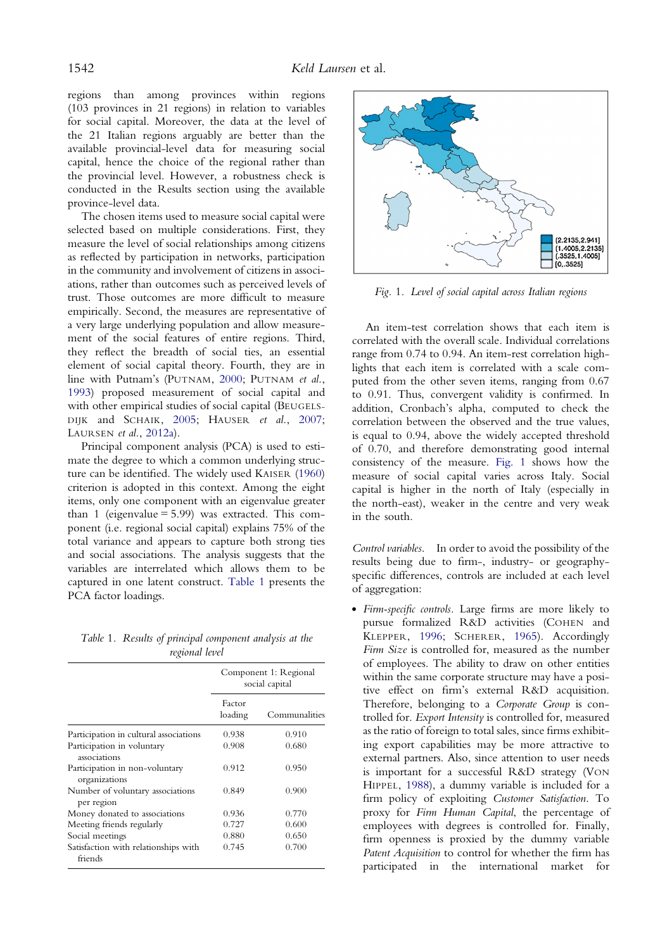regions than among provinces within regions (103 provinces in 21 regions) in relation to variables for social capital. Moreover, the data at the level of the 21 Italian regions arguably are better than the available provincial-level data for measuring social capital, hence the choice of the regional rather than the provincial level. However, a robustness check is conducted in the Results section using the available province-level data.

The chosen items used to measure social capital were selected based on multiple considerations. First, they measure the level of social relationships among citizens as reflected by participation in networks, participation in the community and involvement of citizens in associations, rather than outcomes such as perceived levels of trust. Those outcomes are more difficult to measure empirically. Second, the measures are representative of a very large underlying population and allow measurement of the social features of entire regions. Third, they reflect the breadth of social ties, an essential element of social capital theory. Fourth, they are in line with Putnam's (PUTNAM, [2000;](#page-13-0) PUTNAM et al., [1993\)](#page-13-0) proposed measurement of social capital and with other empirical studies of social capital (BEUGELS-DIJK and SCHAIK, [2005;](#page-11-0) HAUSER et al., [2007](#page-12-0); LAURSEN et al., [2012a\)](#page-12-0).

Principal component analysis (PCA) is used to estimate the degree to which a common underlying structure can be identified. The widely used KAISER [\(1960\)](#page-12-0) criterion is adopted in this context. Among the eight items, only one component with an eigenvalue greater than 1 (eigenvalue  $=$  5.99) was extracted. This component (i.e. regional social capital) explains 75% of the total variance and appears to capture both strong ties and social associations. The analysis suggests that the variables are interrelated which allows them to be captured in one latent construct. Table 1 presents the PCA factor loadings.

Table 1. Results of principal component analysis at the regional level

|                                                 | Component 1: Regional<br>social capital |               |  |
|-------------------------------------------------|-----------------------------------------|---------------|--|
|                                                 | Factor<br>loading                       | Communalities |  |
| Participation in cultural associations          | 0.938                                   | 0.910         |  |
| Participation in voluntary<br>associations      | 0.908                                   | 0.680         |  |
| Participation in non-voluntary<br>organizations | 0.912                                   | 0.950         |  |
| Number of voluntary associations<br>per region  | 0.849                                   | 0.900         |  |
| Money donated to associations                   | 0.936                                   | 0.770         |  |
| Meeting friends regularly                       | 0.727                                   | 0.600         |  |
| Social meetings                                 | 0.880                                   | 0.650         |  |
| Satisfaction with relationships with<br>friends | 0.745                                   | 0.700         |  |



Fig. 1. Level of social capital across Italian regions

An item-test correlation shows that each item is correlated with the overall scale. Individual correlations range from 0.74 to 0.94. An item-rest correlation highlights that each item is correlated with a scale computed from the other seven items, ranging from 0.67 to 0.91. Thus, convergent validity is confirmed. In addition, Cronbach's alpha, computed to check the correlation between the observed and the true values, is equal to 0.94, above the widely accepted threshold of 0.70, and therefore demonstrating good internal consistency of the measure. Fig. 1 shows how the measure of social capital varies across Italy. Social capital is higher in the north of Italy (especially in the north-east), weaker in the centre and very weak in the south.

Control variables. In order to avoid the possibility of the results being due to firm-, industry- or geographyspecific differences, controls are included at each level of aggregation:

. Firm-specific controls. Large firms are more likely to pursue formalized R&D activities (COHEN and KLEPPER, [1996](#page-11-0); SCHERER, [1965\)](#page-13-0). Accordingly Firm Size is controlled for, measured as the number of employees. The ability to draw on other entities within the same corporate structure may have a positive effect on firm's external R&D acquisition. Therefore, belonging to a Corporate Group is controlled for. Export Intensity is controlled for, measured as the ratio of foreign to total sales, since firms exhibiting export capabilities may be more attractive to external partners. Also, since attention to user needs is important for a successful R&D strategy (VON HIPPEL, [1988](#page-13-0)), a dummy variable is included for a firm policy of exploiting Customer Satisfaction. To proxy for Firm Human Capital, the percentage of employees with degrees is controlled for. Finally, firm openness is proxied by the dummy variable Patent Acquisition to control for whether the firm has participated in the international market for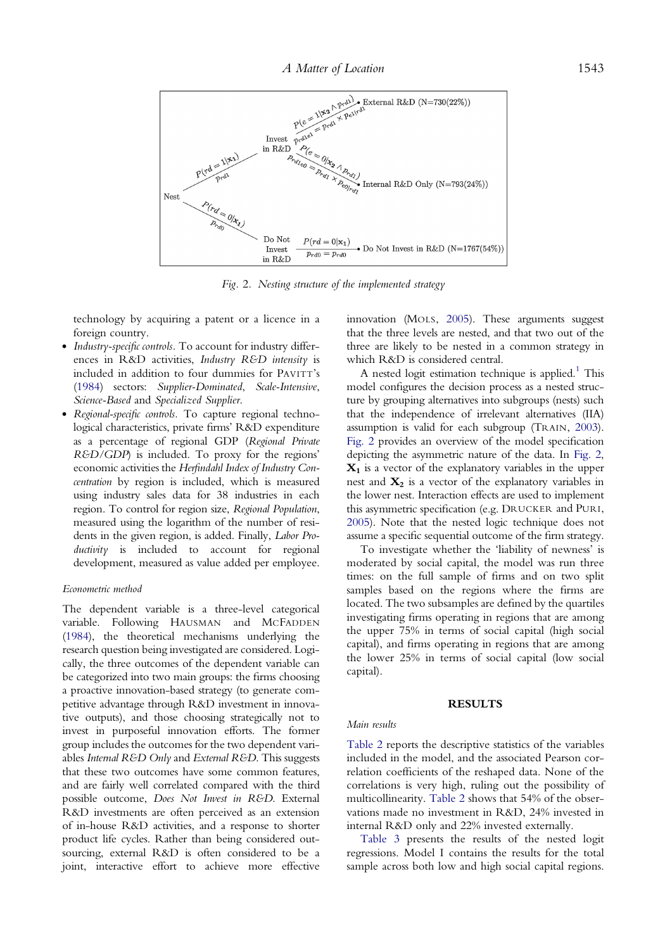

Fig. 2. Nesting structure of the implemented strategy

technology by acquiring a patent or a licence in a foreign country.

- . Industry-specific controls. To account for industry differences in R&D activities, Industry R&D intensity is included in addition to four dummies for PAVITT's [\(1984\)](#page-12-0) sectors: Supplier-Dominated, Scale-Intensive, Science-Based and Specialized Supplier.
- . Regional-specific controls. To capture regional technological characteristics, private firms' R&D expenditure as a percentage of regional GDP (Regional Private R&D/GDP) is included. To proxy for the regions' economic activities the Herfindahl Index of Industry Concentration by region is included, which is measured using industry sales data for 38 industries in each region. To control for region size, Regional Population, measured using the logarithm of the number of residents in the given region, is added. Finally, Labor Productivity is included to account for regional development, measured as value added per employee.

## Econometric method

The dependent variable is a three-level categorical variable. Following HAUSMAN and MCFADDEN [\(1984](#page-12-0)), the theoretical mechanisms underlying the research question being investigated are considered. Logically, the three outcomes of the dependent variable can be categorized into two main groups: the firms choosing a proactive innovation-based strategy (to generate competitive advantage through R&D investment in innovative outputs), and those choosing strategically not to invest in purposeful innovation efforts. The former group includes the outcomes for the two dependent variables Internal R&D Only and External R&D. This suggests that these two outcomes have some common features, and are fairly well correlated compared with the third possible outcome, Does Not Invest in R&D. External R&D investments are often perceived as an extension of in-house R&D activities, and a response to shorter product life cycles. Rather than being considered outsourcing, external R&D is often considered to be a joint, interactive effort to achieve more effective innovation (MOLS, [2005\)](#page-12-0). These arguments suggest that the three levels are nested, and that two out of the three are likely to be nested in a common strategy in which R&D is considered central.

A nested logit estimation technique is applied.<sup>1</sup> This model configures the decision process as a nested structure by grouping alternatives into subgroups (nests) such that the independence of irrelevant alternatives (IIA) assumption is valid for each subgroup (TRAIN, [2003\)](#page-13-0). Fig. 2 provides an overview of the model specification depicting the asymmetric nature of the data. In Fig. 2,  $X_1$  is a vector of the explanatory variables in the upper nest and  $X_2$  is a vector of the explanatory variables in the lower nest. Interaction effects are used to implement this asymmetric specification (e.g. DRUCKER and PURI, [2005](#page-11-0)). Note that the nested logic technique does not assume a specific sequential outcome of the firm strategy.

To investigate whether the 'liability of newness' is moderated by social capital, the model was run three times: on the full sample of firms and on two split samples based on the regions where the firms are located. The two subsamples are defined by the quartiles investigating firms operating in regions that are among the upper 75% in terms of social capital (high social capital), and firms operating in regions that are among the lower 25% in terms of social capital (low social capital).

#### **RESULTS**

#### Main results

[Table 2](#page-7-0) reports the descriptive statistics of the variables included in the model, and the associated Pearson correlation coefficients of the reshaped data. None of the correlations is very high, ruling out the possibility of multicollinearity. [Table 2](#page-7-0) shows that 54% of the observations made no investment in R&D, 24% invested in internal R&D only and 22% invested externally.

[Table 3](#page-8-0) presents the results of the nested logit regressions. Model I contains the results for the total sample across both low and high social capital regions.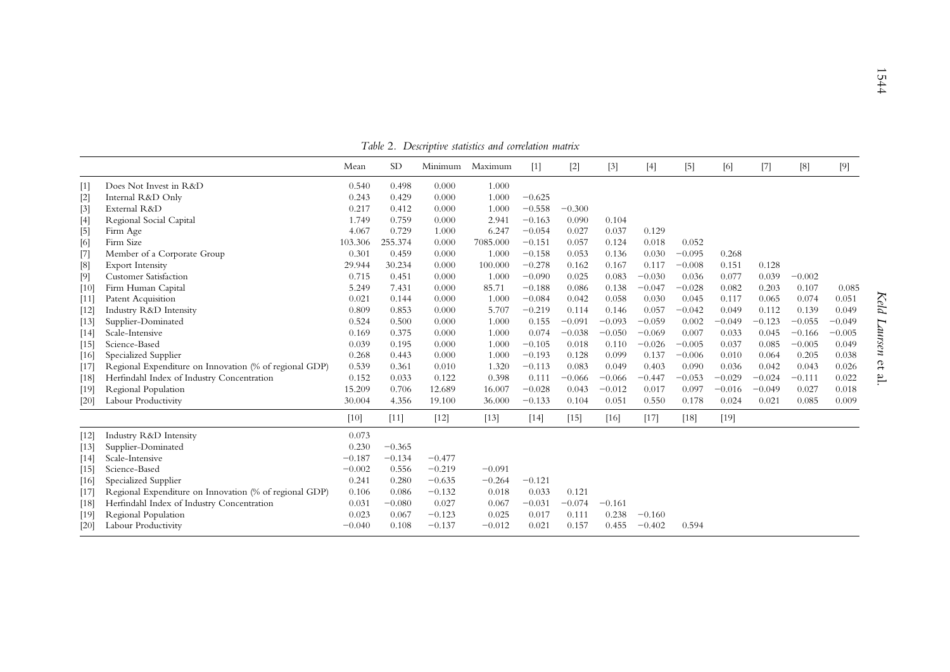<span id="page-7-0"></span>

|                    |                                                        | Mean     | <b>SD</b> | Minimum  | Maximum  | $[1]$    | $[2]$    | $[3]$    | $[4]$    | $[5]$    | [6]      | $[7]$    | [8]      | $[9]$    |
|--------------------|--------------------------------------------------------|----------|-----------|----------|----------|----------|----------|----------|----------|----------|----------|----------|----------|----------|
| $[1]$              | Does Not Invest in R&D                                 | 0.540    | 0.498     | 0.000    | 1.000    |          |          |          |          |          |          |          |          |          |
| $[2]$              | Internal R&D Only                                      | 0.243    | 0.429     | 0.000    | 1.000    | $-0.625$ |          |          |          |          |          |          |          |          |
| $[3]$              | External R&D                                           | 0.217    | 0.412     | 0.000    | 1.000    | $-0.558$ | $-0.300$ |          |          |          |          |          |          |          |
| $[4]$              | Regional Social Capital                                | 1.749    | 0.759     | 0.000    | 2.941    | $-0.163$ | 0.090    | 0.104    |          |          |          |          |          |          |
| $[5]$              | Firm Age                                               | 4.067    | 0.729     | 1.000    | 6.247    | $-0.054$ | 0.027    | 0.037    | 0.129    |          |          |          |          |          |
| [6]                | Firm Size                                              | 103.306  | 255.374   | 0.000    | 7085.000 | $-0.151$ | 0.057    | 0.124    | 0.018    | 0.052    |          |          |          |          |
| $[7]$              | Member of a Corporate Group                            | 0.301    | 0.459     | 0.000    | 1.000    | $-0.158$ | 0.053    | 0.136    | 0.030    | $-0.095$ | 0.268    |          |          |          |
| [8]                | Export Intensity                                       | 29.944   | 30.234    | 0.000    | 100.000  | $-0.278$ | 0.162    | 0.167    | 0.117    | $-0.008$ | 0.151    | 0.128    |          |          |
| $[9]$              | <b>Customer Satisfaction</b>                           | 0.715    | 0.451     | 0.000    | 1.000    | $-0.090$ | 0.025    | 0.083    | $-0.030$ | 0.036    | 0.077    | 0.039    | $-0.002$ |          |
| [10]               | Firm Human Capital                                     | 5.249    | 7.431     | 0.000    | 85.71    | $-0.188$ | 0.086    | 0.138    | $-0.047$ | $-0.028$ | 0.082    | 0.203    | 0.107    | 0.085    |
| $\lceil 11 \rceil$ | Patent Acquisition                                     | 0.021    | 0.144     | 0.000    | 1.000    | $-0.084$ | 0.042    | 0.058    | 0.030    | 0.045    | 0.117    | 0.065    | 0.074    | 0.051    |
| $[12]$             | Industry R&D Intensity                                 | 0.809    | 0.853     | 0.000    | 5.707    | $-0.219$ | 0.114    | 0.146    | 0.057    | $-0.042$ | 0.049    | 0.112    | 0.139    | 0.049    |
| $[13]$             | Supplier-Dominated                                     | 0.524    | 0.500     | 0.000    | 1.000    | 0.155    | $-0.091$ | $-0.093$ | $-0.059$ | 0.002    | $-0.049$ | $-0.123$ | $-0.055$ | $-0.049$ |
| $[14]$             | Scale-Intensive                                        | 0.169    | 0.375     | 0.000    | 1.000    | 0.074    | $-0.038$ | $-0.050$ | $-0.069$ | 0.007    | 0.033    | 0.045    | $-0.166$ | $-0.005$ |
| $[15]$             | Science-Based                                          | 0.039    | 0.195     | 0.000    | 1.000    | $-0.105$ | 0.018    | 0.110    | $-0.026$ | $-0.005$ | 0.037    | 0.085    | $-0.005$ | 0.049    |
| [16]               | Specialized Supplier                                   | 0.268    | 0.443     | 0.000    | 1.000    | $-0.193$ | 0.128    | 0.099    | 0.137    | $-0.006$ | 0.010    | 0.064    | 0.205    | 0.038    |
| [17]               | Regional Expenditure on Innovation (% of regional GDP) | 0.539    | 0.361     | 0.010    | 1.320    | $-0.113$ | 0.083    | 0.049    | 0.403    | 0.090    | 0.036    | 0.042    | 0.043    | 0.026    |
| [18]               | Herfindahl Index of Industry Concentration             | 0.152    | 0.033     | 0.122    | 0.398    | 0.111    | $-0.066$ | $-0.066$ | $-0.447$ | $-0.053$ | $-0.029$ | $-0.024$ | $-0.111$ | 0.022    |
| [19]               | Regional Population                                    | 15.209   | 0.706     | 12.689   | 16.007   | $-0.028$ | 0.043    | $-0.012$ | 0.017    | 0.097    | $-0.016$ | $-0.049$ | 0.027    | 0.018    |
| [20]               | Labour Productivity                                    | 30.004   | 4.356     | 19.100   | 36.000   | $-0.133$ | 0.104    | 0.051    | 0.550    | 0.178    | 0.024    | 0.021    | 0.085    | 0.009    |
|                    |                                                        | $[10]$   | $[11]$    | $[12]$   | $[13]$   | $[14]$   | $[15]$   | [16]     | $[17]$   | $[18]$   | $[19]$   |          |          |          |
| $[12]$             | Industry R&D Intensity                                 | 0.073    |           |          |          |          |          |          |          |          |          |          |          |          |
| $[13]$             | Supplier-Dominated                                     | 0.230    | $-0.365$  |          |          |          |          |          |          |          |          |          |          |          |
| $[14]$             | Scale-Intensive                                        | $-0.187$ | $-0.134$  | $-0.477$ |          |          |          |          |          |          |          |          |          |          |
| $[15]$             | Science-Based                                          | $-0.002$ | 0.556     | $-0.219$ | $-0.091$ |          |          |          |          |          |          |          |          |          |
| [16]               | Specialized Supplier                                   | 0.241    | 0.280     | $-0.635$ | $-0.264$ | $-0.121$ |          |          |          |          |          |          |          |          |
| $[17]$             | Regional Expenditure on Innovation (% of regional GDP) | 0.106    | 0.086     | $-0.132$ | 0.018    | 0.033    | 0.121    |          |          |          |          |          |          |          |
| [18]               | Herfindahl Index of Industry Concentration             | 0.031    | $-0.080$  | 0.027    | 0.067    | $-0.031$ | $-0.074$ | $-0.161$ |          |          |          |          |          |          |
| [19]               | Regional Population                                    | 0.023    | 0.067     | $-0.123$ | 0.025    | 0.017    | 0.111    | 0.238    | $-0.160$ |          |          |          |          |          |
| [20]               | Labour Productivity                                    | $-0.040$ | 0.108     | $-0.137$ | $-0.012$ | 0.021    | 0.157    | 0.455    | $-0.402$ | 0.594    |          |          |          |          |

Table 2. Descriptive statistics and correlation matrix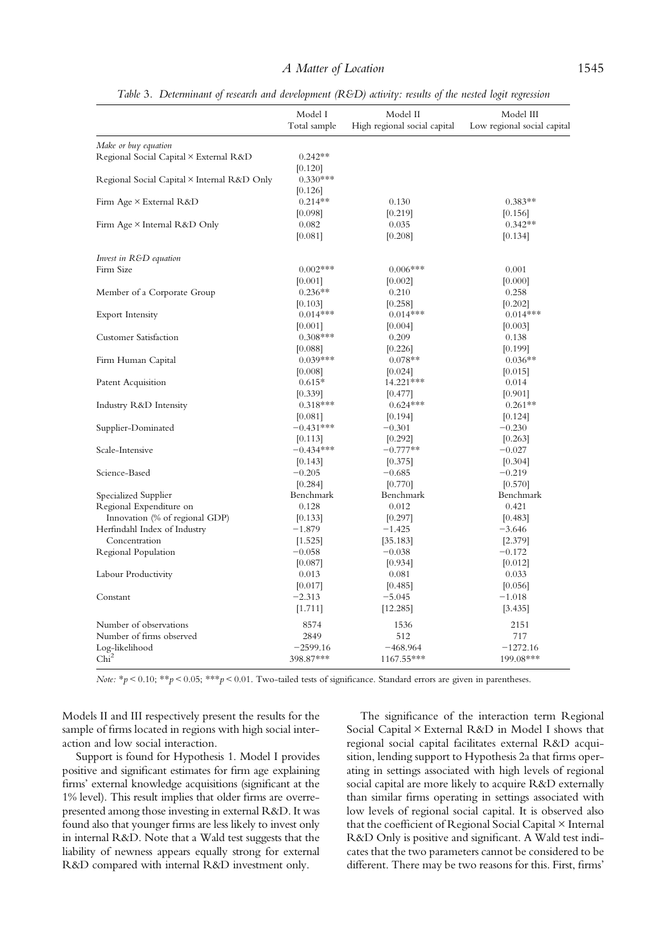|  | Table 3. Determinant of research and development (R&D) activity: results of the nested logit regression |  |  |  |  |  |  |  |  |
|--|---------------------------------------------------------------------------------------------------------|--|--|--|--|--|--|--|--|
|--|---------------------------------------------------------------------------------------------------------|--|--|--|--|--|--|--|--|

<span id="page-8-0"></span>

|                                             | Model I<br>Total sample | Model II<br>High regional social capital | Model III<br>Low regional social capital |
|---------------------------------------------|-------------------------|------------------------------------------|------------------------------------------|
| Make or buy equation                        |                         |                                          |                                          |
| Regional Social Capital × External R&D      | $0.242**$               |                                          |                                          |
|                                             | [0.120]                 |                                          |                                          |
| Regional Social Capital × Internal R&D Only | $0.330***$              |                                          |                                          |
|                                             | [0.126]                 |                                          |                                          |
| Firm Age $\times$ External R&D              | $0.214**$               | 0.130                                    | $0.383**$                                |
|                                             | [0.098]                 | [0.219]                                  | [0.156]                                  |
| Firm Age $\times$ Internal R&D Only         | 0.082                   | 0.035                                    | $0.342**$                                |
|                                             | [0.081]                 | [0.208]                                  | [0.134]                                  |
| Invest in R&D equation                      |                         |                                          |                                          |
| Firm Size                                   | $0.002***$              | $0.006***$                               | 0.001                                    |
|                                             | [0.001]                 | [0.002]                                  | [0.000]                                  |
| Member of a Corporate Group                 | $0.236**$               | 0.210                                    | 0.258                                    |
|                                             | [0.103]                 | [0.258]                                  | [0.202]                                  |
| <b>Export Intensity</b>                     | $0.014***$              | $0.014***$                               | $0.014***$                               |
|                                             | [0.001]                 | [0.004]                                  | [0.003]                                  |
| <b>Customer Satisfaction</b>                | $0.308***$              | 0.209                                    | 0.138                                    |
|                                             | [0.088]                 | [0.226]                                  | [0.199]                                  |
| Firm Human Capital                          | $0.039***$              | $0.078**$                                | $0.036**$                                |
|                                             | [0.008]                 | [0.024]                                  | [0.015]                                  |
| Patent Acquisition                          | $0.615*$                | 14.221***                                | 0.014                                    |
|                                             | [0.339]                 | [0.477]                                  | [0.901]                                  |
| Industry R&D Intensity                      | $0.318***$              | $0.624***$                               | $0.261**$                                |
|                                             | [0.081]                 | [0.194]                                  | [0.124]                                  |
| Supplier-Dominated                          | $-0.431***$             | $-0.301$                                 | $-0.230$                                 |
|                                             | [0.113]                 | [0.292]                                  | [0.263]                                  |
| Scale-Intensive                             | $-0.434***$             | $-0.777**$                               | $-0.027$                                 |
|                                             | [0.143]                 | [0.375]                                  | [0.304]                                  |
| Science-Based                               | $-0.205$                | $-0.685$                                 | $-0.219$                                 |
|                                             | [0.284]                 | [0.770]                                  | [0.570]                                  |
| Specialized Supplier                        | Benchmark               | Benchmark                                | Benchmark                                |
| Regional Expenditure on                     | $0.128\,$               | 0.012                                    | 0.421                                    |
| Innovation (% of regional GDP)              | [0.133]                 | [0.297]                                  | [0.483]                                  |
| Herfindahl Index of Industry                | $-1.879$                | $-1.425$                                 | $-3.646$                                 |
| Concentration                               | [1.525]                 | [35.183]                                 | [2.379]                                  |
| Regional Population                         | $-0.058$                | $-0.038$                                 | $-0.172$                                 |
|                                             | [0.087]<br>0.013        | [0.934]<br>0.081                         | [0.012]<br>0.033                         |
| Labour Productivity                         |                         |                                          |                                          |
| Constant                                    | [0.017]<br>$-2.313$     | [0.485]<br>$-5.045$                      | [0.056]<br>$-1.018$                      |
|                                             | [1.711]                 | [12.285]                                 | [3.435]                                  |
| Number of observations                      | 8574                    | 1536                                     | 2151                                     |
| Number of firms observed                    | 2849                    | 512                                      | 717                                      |
| Log-likelihood                              | $-2599.16$              | $-468.964$                               | $-1272.16$                               |
| Chi <sup>2</sup>                            | 398.87***               | 1167.55***                               | 199.08***                                |
|                                             |                         |                                          |                                          |

Note:  $\mathbf{\hat{y}}$  < 0.10;  $\mathbf{\hat{x}*\hat{y}}$  < 0.05;  $\mathbf{\hat{x}*\hat{y}}$  < 0.01. Two-tailed tests of significance. Standard errors are given in parentheses.

Models II and III respectively present the results for the sample of firms located in regions with high social interaction and low social interaction.

Support is found for Hypothesis 1. Model I provides positive and significant estimates for firm age explaining firms' external knowledge acquisitions (significant at the 1% level). This result implies that older firms are overrepresented among those investing in external R&D. It was found also that younger firms are less likely to invest only in internal R&D. Note that a Wald test suggests that the liability of newness appears equally strong for external R&D compared with internal R&D investment only.

The significance of the interaction term Regional Social Capital × External R&D in Model I shows that regional social capital facilitates external R&D acquisition, lending support to Hypothesis 2a that firms operating in settings associated with high levels of regional social capital are more likely to acquire R&D externally than similar firms operating in settings associated with low levels of regional social capital. It is observed also that the coefficient of Regional Social Capital × Internal R&D Only is positive and significant. A Wald test indicates that the two parameters cannot be considered to be different. There may be two reasons for this. First, firms'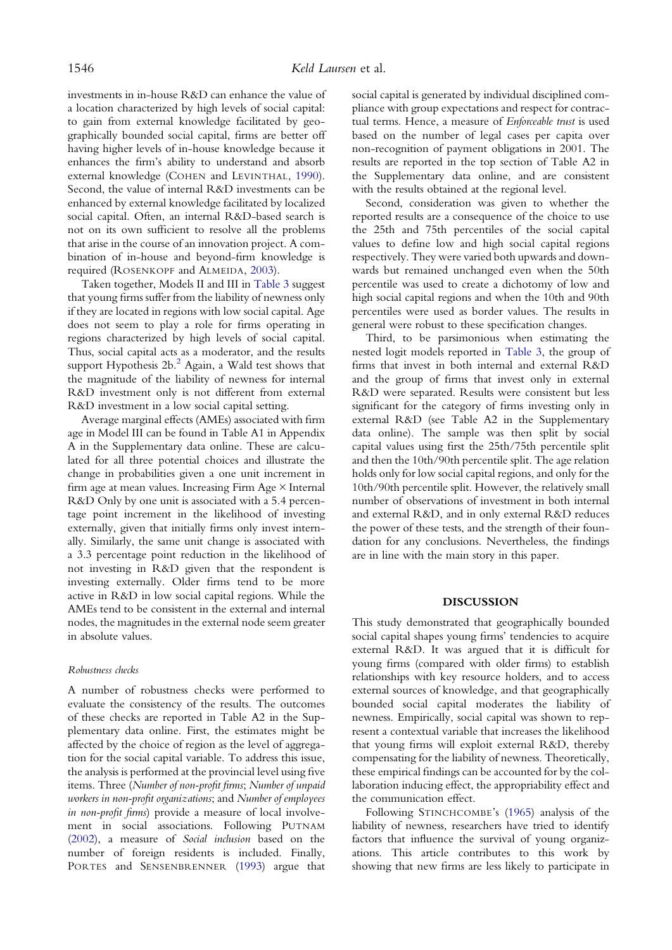investments in in-house R&D can enhance the value of a location characterized by high levels of social capital: to gain from external knowledge facilitated by geographically bounded social capital, firms are better off having higher levels of in-house knowledge because it enhances the firm's ability to understand and absorb external knowledge (COHEN and LEVINTHAL, [1990](#page-11-0)). Second, the value of internal R&D investments can be enhanced by external knowledge facilitated by localized social capital. Often, an internal R&D-based search is not on its own sufficient to resolve all the problems that arise in the course of an innovation project. A combination of in-house and beyond-firm knowledge is required (ROSENKOPF and ALMEIDA, [2003](#page-13-0)).

Taken together, Models II and III in [Table 3](#page-8-0) suggest that young firms suffer from the liability of newness only if they are located in regions with low social capital. Age does not seem to play a role for firms operating in regions characterized by high levels of social capital. Thus, social capital acts as a moderator, and the results support Hypothesis 2b.<sup>2</sup> Again, a Wald test shows that the magnitude of the liability of newness for internal R&D investment only is not different from external R&D investment in a low social capital setting.

Average marginal effects (AMEs) associated with firm age in Model III can be found in Table A1 in Appendix A in the Supplementary data online. These are calculated for all three potential choices and illustrate the change in probabilities given a one unit increment in firm age at mean values. Increasing Firm Age × Internal R&D Only by one unit is associated with a 5.4 percentage point increment in the likelihood of investing externally, given that initially firms only invest internally. Similarly, the same unit change is associated with a 3.3 percentage point reduction in the likelihood of not investing in R&D given that the respondent is investing externally. Older firms tend to be more active in R&D in low social capital regions. While the AMEs tend to be consistent in the external and internal nodes, the magnitudes in the external node seem greater in absolute values.

### Robustness checks

A number of robustness checks were performed to evaluate the consistency of the results. The outcomes of these checks are reported in Table A2 in the Supplementary data online. First, the estimates might be affected by the choice of region as the level of aggregation for the social capital variable. To address this issue, the analysis is performed at the provincial level using five items. Three (Number of non-profit firms; Number of unpaid workers in non-profit organizations; and Number of employees in non-profit firms) provide a measure of local involvement in social associations. Following PUTNAM [\(2002\)](#page-13-0), a measure of Social inclusion based on the number of foreign residents is included. Finally, PORTES and SENSENBRENNER ([1993](#page-13-0)) argue that social capital is generated by individual disciplined compliance with group expectations and respect for contractual terms. Hence, a measure of Enforceable trust is used based on the number of legal cases per capita over non-recognition of payment obligations in 2001. The results are reported in the top section of Table A2 in the Supplementary data online, and are consistent with the results obtained at the regional level.

Second, consideration was given to whether the reported results are a consequence of the choice to use the 25th and 75th percentiles of the social capital values to define low and high social capital regions respectively. They were varied both upwards and downwards but remained unchanged even when the 50th percentile was used to create a dichotomy of low and high social capital regions and when the 10th and 90th percentiles were used as border values. The results in general were robust to these specification changes.

Third, to be parsimonious when estimating the nested logit models reported in [Table 3](#page-8-0), the group of firms that invest in both internal and external R&D and the group of firms that invest only in external R&D were separated. Results were consistent but less significant for the category of firms investing only in external R&D (see Table A2 in the Supplementary data online). The sample was then split by social capital values using first the 25th/75th percentile split and then the 10th/90th percentile split. The age relation holds only for low social capital regions, and only for the 10th/90th percentile split. However, the relatively small number of observations of investment in both internal and external R&D, and in only external R&D reduces the power of these tests, and the strength of their foundation for any conclusions. Nevertheless, the findings are in line with the main story in this paper.

## DISCUSSION

This study demonstrated that geographically bounded social capital shapes young firms' tendencies to acquire external R&D. It was argued that it is difficult for young firms (compared with older firms) to establish relationships with key resource holders, and to access external sources of knowledge, and that geographically bounded social capital moderates the liability of newness. Empirically, social capital was shown to represent a contextual variable that increases the likelihood that young firms will exploit external R&D, thereby compensating for the liability of newness. Theoretically, these empirical findings can be accounted for by the collaboration inducing effect, the appropriability effect and the communication effect.

Following STINCHCOMBE's [\(1965\)](#page-13-0) analysis of the liability of newness, researchers have tried to identify factors that influence the survival of young organizations. This article contributes to this work by showing that new firms are less likely to participate in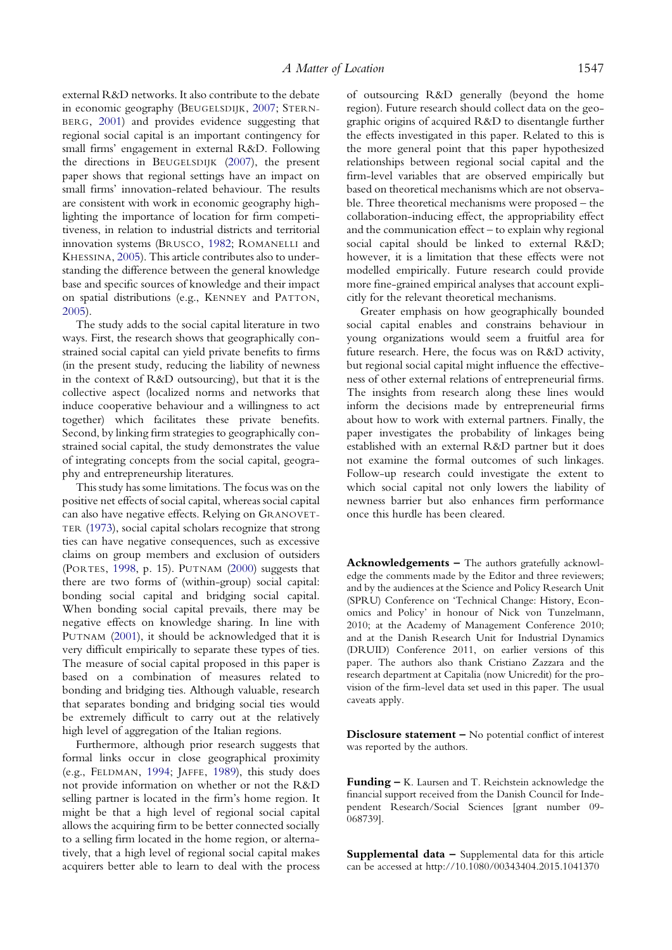external R&D networks. It also contribute to the debate in economic geography (BEUGELSDIJK, [2007](#page-11-0); STERN-BERG, [2001\)](#page-13-0) and provides evidence suggesting that regional social capital is an important contingency for small firms' engagement in external R&D. Following the directions in BEUGELSDIJK [\(2007\)](#page-11-0), the present paper shows that regional settings have an impact on small firms' innovation-related behaviour. The results are consistent with work in economic geography highlighting the importance of location for firm competitiveness, in relation to industrial districts and territorial innovation systems (BRUSCO, [1982;](#page-11-0) ROMANELLI and KHESSINA, [2005](#page-13-0)). This article contributes also to understanding the difference between the general knowledge base and specific sources of knowledge and their impact on spatial distributions (e.g., KENNEY and PATTON, [2005\)](#page-12-0).

The study adds to the social capital literature in two ways. First, the research shows that geographically constrained social capital can yield private benefits to firms (in the present study, reducing the liability of newness in the context of R&D outsourcing), but that it is the collective aspect (localized norms and networks that induce cooperative behaviour and a willingness to act together) which facilitates these private benefits. Second, by linking firm strategies to geographically constrained social capital, the study demonstrates the value of integrating concepts from the social capital, geography and entrepreneurship literatures.

This study has some limitations. The focus was on the positive net effects of social capital, whereas social capital can also have negative effects. Relying on GRANOVET-TER [\(1973\)](#page-11-0), social capital scholars recognize that strong ties can have negative consequences, such as excessive claims on group members and exclusion of outsiders (PORTES, [1998](#page-13-0), p. 15). PUTNAM [\(2000\)](#page-13-0) suggests that there are two forms of (within-group) social capital: bonding social capital and bridging social capital. When bonding social capital prevails, there may be negative effects on knowledge sharing. In line with PUTNAM [\(2001](#page-13-0)), it should be acknowledged that it is very difficult empirically to separate these types of ties. The measure of social capital proposed in this paper is based on a combination of measures related to bonding and bridging ties. Although valuable, research that separates bonding and bridging social ties would be extremely difficult to carry out at the relatively high level of aggregation of the Italian regions.

Furthermore, although prior research suggests that formal links occur in close geographical proximity (e.g., FELDMAN, [1994;](#page-11-0) JAFFE, [1989](#page-12-0)), this study does not provide information on whether or not the R&D selling partner is located in the firm's home region. It might be that a high level of regional social capital allows the acquiring firm to be better connected socially to a selling firm located in the home region, or alternatively, that a high level of regional social capital makes acquirers better able to learn to deal with the process

of outsourcing R&D generally (beyond the home region). Future research should collect data on the geographic origins of acquired R&D to disentangle further the effects investigated in this paper. Related to this is the more general point that this paper hypothesized relationships between regional social capital and the firm-level variables that are observed empirically but based on theoretical mechanisms which are not observable. Three theoretical mechanisms were proposed – the collaboration-inducing effect, the appropriability effect and the communication effect – to explain why regional social capital should be linked to external R&D; however, it is a limitation that these effects were not modelled empirically. Future research could provide more fine-grained empirical analyses that account explicitly for the relevant theoretical mechanisms.

Greater emphasis on how geographically bounded social capital enables and constrains behaviour in young organizations would seem a fruitful area for future research. Here, the focus was on R&D activity, but regional social capital might influence the effectiveness of other external relations of entrepreneurial firms. The insights from research along these lines would inform the decisions made by entrepreneurial firms about how to work with external partners. Finally, the paper investigates the probability of linkages being established with an external R&D partner but it does not examine the formal outcomes of such linkages. Follow-up research could investigate the extent to which social capital not only lowers the liability of newness barrier but also enhances firm performance once this hurdle has been cleared.

Acknowledgements – The authors gratefully acknowledge the comments made by the Editor and three reviewers; and by the audiences at the Science and Policy Research Unit (SPRU) Conference on 'Technical Change: History, Economics and Policy' in honour of Nick von Tunzelmann, 2010; at the Academy of Management Conference 2010; and at the Danish Research Unit for Industrial Dynamics (DRUID) Conference 2011, on earlier versions of this paper. The authors also thank Cristiano Zazzara and the research department at Capitalia (now Unicredit) for the provision of the firm-level data set used in this paper. The usual caveats apply.

Disclosure statement - No potential conflict of interest was reported by the authors.

Funding – K. Laursen and T. Reichstein acknowledge the financial support received from the Danish Council for Independent Research/Social Sciences [grant number 09- 068739].

Supplemental data – Supplemental data for this article can be accessed at http://10.1080/00343404.2015.1041370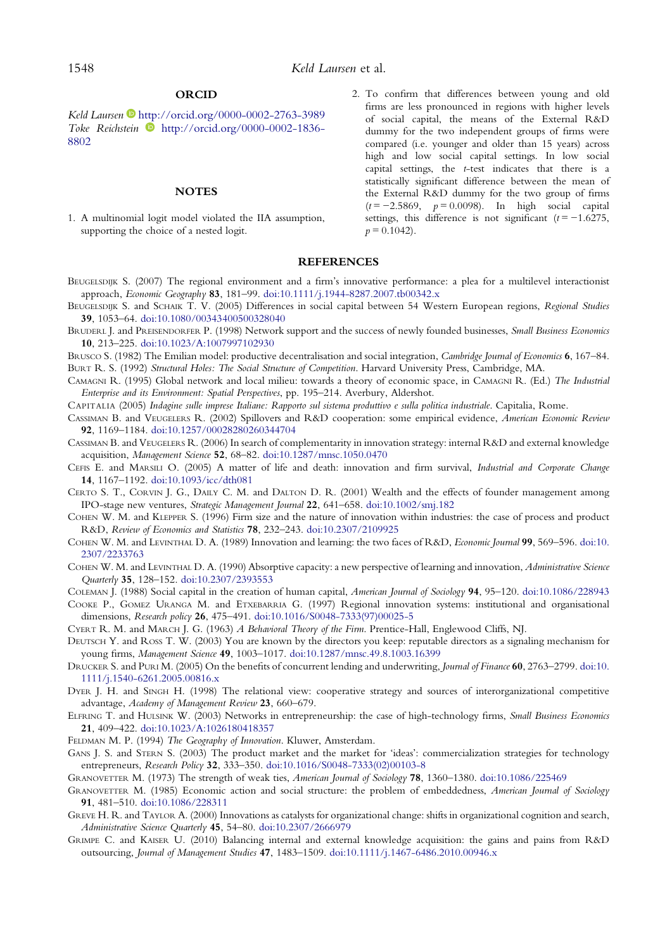#### ORCID

<span id="page-11-0"></span>Keld Laursen D<http://orcid.org/0000-0002-2763-3989> Toke Reichstein [http://orcid.org/0000-0002-1836-](http://orcid.org/0000-0002-1836-8802) [8802](http://orcid.org/0000-0002-1836-8802)

# **NOTES**

- 1. A multinomial logit model violated the IIA assumption, supporting the choice of a nested logit.
- 2. To confirm that differences between young and old firms are less pronounced in regions with higher levels of social capital, the means of the External R&D dummy for the two independent groups of firms were compared (i.e. younger and older than 15 years) across high and low social capital settings. In low social capital settings, the t-test indicates that there is a statistically significant difference between the mean of the External R&D dummy for the two group of firms  $(t = -2.5869, p = 0.0098)$ . In high social capital settings, this difference is not significant  $(t = -1.6275)$ ,  $p = 0.1042$ .

## **REFERENCES**

BEUGELSDIJK S. (2007) The regional environment and a firm's innovative performance: a plea for a multilevel interactionist approach, Economic Geography 83, 181–99. [doi:10.1111/j.1944-8287.2007.tb00342.x](http://dx.doi.org/10.1111/j.1944-8287.2007.tb00342.x)

BEUGELSDIJK S. and SCHAIK T. V. (2005) Differences in social capital between 54 Western European regions, Regional Studies 39, 1053–64. [doi:10.1080/00343400500328040](http://dx.doi.org/10.1080/00343400500328040)

BRUDERL J. and PREISENDORFER P. (1998) Network support and the success of newly founded businesses, Small Business Economics 10, 213–225. [doi:10.1023/A:1007997102930](http://dx.doi.org/10.1023/A:1007997102930)

- BRUSCO S. (1982) The Emilian model: productive decentralisation and social integration, Cambridge Journal of Economics 6, 167–84. BURT R. S. (1992) Structural Holes: The Social Structure of Competition. Harvard University Press, Cambridge, MA.
- CAMAGNI R. (1995) Global network and local milieu: towards a theory of economic space, in CAMAGNI R. (Ed.) The Industrial Enterprise and its Environment: Spatial Perspectives, pp. 195–214. Averbury, Aldershot.

CAPITALIA (2005) Indagine sulle imprese Italiane: Rapporto sul sistema produttivo e sulla politica industriale. Capitalia, Rome.

- CASSIMAN B. and VEUGELERS R. (2002) Spillovers and R&D cooperation: some empirical evidence, American Economic Review 92, 1169–1184. [doi:10.1257/00028280260344704](http://dx.doi.org/10.1257/00028280260344704)
- CASSIMAN B. and VEUGELERS R. (2006) In search of complementarity in innovation strategy: internal R&D and external knowledge acquisition, Management Science 52, 68–82. [doi:10.1287/mnsc.1050.0470](http://dx.doi.org/10.1287/mnsc.1050.0470)
- CEFIS E. and MARSILI O. (2005) A matter of life and death: innovation and firm survival, Industrial and Corporate Change 14, 1167–1192. [doi:10.1093/icc/dth081](http://dx.doi.org/10.1093/icc/dth081)
- CERTO S. T., CORVIN J. G., DAILY C. M. and DALTON D. R. (2001) Wealth and the effects of founder management among IPO-stage new ventures, Strategic Management Journal 22, 641–658. [doi:10.1002/smj.182](http://dx.doi.org/10.1002/smj.182)
- COHEN W. M. and KLEPPER S. (1996) Firm size and the nature of innovation within industries: the case of process and product R&D, Review of Economics and Statistics 78, 232–243. [doi:10.2307/2109925](http://dx.doi.org/10.2307/2109925)
- COHEN W. M. and LEVINTHAL D. A. (1989) Innovation and learning: the two faces of R&D, Economic Journal 99, 569–596. [doi:10.](http://dx.doi.org/10.2307/2233763) [2307/2233763](http://dx.doi.org/10.2307/2233763)
- COHEN W. M. and LEVINTHAL D. A. (1990) Absorptive capacity: a new perspective of learning and innovation, Administrative Science Quarterly 35, 128–152. [doi:10.2307/2393553](http://dx.doi.org/10.2307/2393553)
- COLEMAN J. (1988) Social capital in the creation of human capital, American Journal of Sociology 94, 95–120. [doi:10.1086/228943](http://dx.doi.org/10.1086/228943)
- COOKE P., GOMEZ URANGA M. and ETXEBARRIA G. (1997) Regional innovation systems: institutional and organisational dimensions, Research policy 26, 475–491. [doi:10.1016/S0048-7333\(97\)00025-5](http://dx.doi.org/10.1016/S0048-7333(97)00025-5)
- CYERT R. M. and MARCH J. G. (1963) A Behavioral Theory of the Firm. Prentice-Hall, Englewood Cliffs, NJ.
- DEUTSCH Y. and ROSS T. W. (2003) You are known by the directors you keep: reputable directors as a signaling mechanism for young firms, Management Science 49, 1003–1017. [doi:10.1287/mnsc.49.8.1003.16399](http://dx.doi.org/10.1287/mnsc.49.8.1003.16399)
- DRUCKER S. and PURI M. (2005) On the benefits of concurrent lending and underwriting, Journal of Finance 60, 2763-2799. [doi:10.](http://dx.doi.org/10.1111/j.1540-6261.2005.00816.x) [1111/j.1540-6261.2005.00816.x](http://dx.doi.org/10.1111/j.1540-6261.2005.00816.x)
- DYER J. H. and SINGH H. (1998) The relational view: cooperative strategy and sources of interorganizational competitive advantage, Academy of Management Review 23, 660–679.
- ELFRING T. and HULSINK W. (2003) Networks in entrepreneurship: the case of high-technology firms, Small Business Economics 21, 409–422. [doi:10.1023/A:1026180418357](http://dx.doi.org/10.1023/A:1026180418357)
- FELDMAN M. P. (1994) The Geography of Innovation. Kluwer, Amsterdam.
- GANS J. S. and STERN S. (2003) The product market and the market for 'ideas': commercialization strategies for technology entrepreneurs, Research Policy 32, 333–350. [doi:10.1016/S0048-7333\(02\)00103-8](http://dx.doi.org/10.1016/S0048-7333(02)00103-8)
- GRANOVETTER M. (1973) The strength of weak ties, American Journal of Sociology 78, 1360–1380. [doi:10.1086/225469](http://dx.doi.org/10.1086/225469)
- GRANOVETTER M. (1985) Economic action and social structure: the problem of embeddedness, American Journal of Sociology 91, 481–510. [doi:10.1086/228311](http://dx.doi.org/10.1086/228311)
- GREVE H. R. and TAYLOR A. (2000) Innovations as catalysts for organizational change: shifts in organizational cognition and search, Administrative Science Quarterly 45, 54–80. [doi:10.2307/2666979](http://dx.doi.org/10.2307/2666979)
- GRIMPE C. and KAISER U. (2010) Balancing internal and external knowledge acquisition: the gains and pains from R&D outsourcing, Journal of Management Studies 47, 1483-1509. [doi:10.1111/j.1467-6486.2010.00946.x](http://dx.doi.org/10.1111/j.1467-6486.2010.00946.x)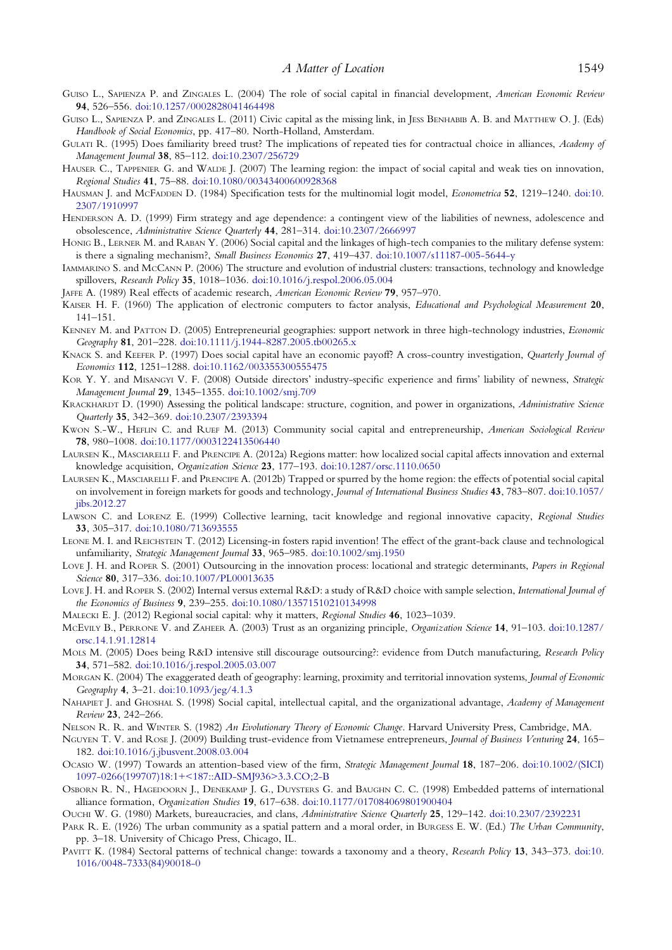- <span id="page-12-0"></span>GUISO L., SAPIENZA P. and ZINGALES L. (2004) The role of social capital in financial development, American Economic Review 94, 526–556. [doi:10.1257/0002828041464498](http://dx.doi.org/10.1257/0002828041464498)
- GUISO L., SAPIENZA P. and ZINGALES L. (2011) Civic capital as the missing link, in JESS BENHABIB A. B. and MATTHEW O. J. (Eds) Handbook of Social Economics, pp. 417–80. North-Holland, Amsterdam.
- GULATI R. (1995) Does familiarity breed trust? The implications of repeated ties for contractual choice in alliances, Academy of Management Journal 38, 85–112. [doi:10.2307/256729](http://dx.doi.org/10.2307/256729)
- HAUSER C., TAPPENIER G. and WALDE J. (2007) The learning region: the impact of social capital and weak ties on innovation, Regional Studies 41, 75–88. [doi:10.1080/00343400600928368](http://dx.doi.org/10.1080/00343400600928368)
- HAUSMAN J. and MCFADDEN D. (1984) Specification tests for the multinomial logit model, Econometrica 52, 1219–1240. [doi:10.](http://dx.doi.org/10.2307/1910997) [2307/1910997](http://dx.doi.org/10.2307/1910997)
- HENDERSON A. D. (1999) Firm strategy and age dependence: a contingent view of the liabilities of newness, adolescence and obsolescence, Administrative Science Quarterly 44, 281–314. [doi:10.2307/2666997](http://dx.doi.org/10.2307/2666997)
- HONIG B., LERNER M. and RABAN Y. (2006) Social capital and the linkages of high-tech companies to the military defense system: is there a signaling mechanism?, Small Business Economics 27, 419–437. [doi:10.1007/s11187-005-5644-y](http://dx.doi.org/10.1007/s11187-005-5644-y)
- IAMMARINO S. and MCCANN P. (2006) The structure and evolution of industrial clusters: transactions, technology and knowledge spillovers, Research Policy 35, 1018–1036. [doi:10.1016/j.respol.2006.05.004](http://dx.doi.org/10.1016/j.respol.2006.05.004)
- JAFFE A. (1989) Real effects of academic research, American Economic Review 79, 957–970.
- KAISER H. F. (1960) The application of electronic computers to factor analysis, Educational and Psychological Measurement 20, 141–151.
- KENNEY M. and PATTON D. (2005) Entrepreneurial geographies: support network in three high-technology industries, Economic Geography 81, 201–228. [doi:10.1111/j.1944-8287.2005.tb00265.x](http://dx.doi.org/10.1111/j.1944-8287.2005.tb00265.x)
- KNACK S. and KEEFER P. (1997) Does social capital have an economic payoff? A cross-country investigation, Quarterly Journal of Economics 112, 1251–1288. [doi:10.1162/003355300555475](http://dx.doi.org/10.1162/003355300555475)
- KOR Y. Y. and MISANGYI V. F. (2008) Outside directors' industry-specific experience and firms' liability of newness, Strategic Management Journal 29, 1345–1355. [doi:10.1002/smj.709](http://dx.doi.org/10.1002/smj.709)
- KRACKHARDT D. (1990) Assessing the political landscape: structure, cognition, and power in organizations, Administrative Science Quarterly 35, 342–369. [doi:10.2307/2393394](http://dx.doi.org/10.2307/2393394)
- KWON S.-W., HEFLIN C. and RUEF M. (2013) Community social capital and entrepreneurship, American Sociological Review 78, 980–1008. [doi:10.1177/0003122413506440](http://dx.doi.org/10.1177/0003122413506440)
- LAURSEN K., MASCIARELLI F. and PRENCIPE A. (2012a) Regions matter: how localized social capital affects innovation and external knowledge acquisition, Organization Science 23, 177-193. [doi:10.1287/orsc.1110.0650](http://dx.doi.org/10.1287/orsc.1110.0650)
- LAURSEN K., MASCIARELLI F. and PRENCIPE A. (2012b) Trapped or spurred by the home region: the effects of potential social capital on involvement in foreign markets for goods and technology, Journal of International Business Studies 43, 783-807. [doi:10.1057/](http://dx.doi.org/10.1057/jibs.2012.27) iibs.2012.27
- LAWSON C. and LORENZ E. (1999) Collective learning, tacit knowledge and regional innovative capacity, Regional Studies 33, 305–317. [doi:10.1080/713693555](http://dx.doi.org/10.1080/713693555)
- LEONE M. I. and REICHSTEIN T. (2012) Licensing-in fosters rapid invention! The effect of the grant-back clause and technological unfamiliarity, Strategic Management Journal 33, 965–985. [doi:10.1002/smj.1950](http://dx.doi.org/10.1002/smj.1950)
- LOVE J. H. and ROPER S. (2001) Outsourcing in the innovation process: locational and strategic determinants, Papers in Regional Science 80, 317-336. [doi:10.1007/PL00013635](http://dx.doi.org/10.1007/PL00013635)
- LOVE J. H. and ROPER S. (2002) Internal versus external R&D: a study of R&D choice with sample selection, International Journal of the Economics of Business 9, 239–255. [doi:10.1080/13571510210134998](http://dx.doi.org/10.1080/13571510210134998)
- MALECKI E. J. (2012) Regional social capital: why it matters, Regional Studies 46, 1023-1039.
- MCEVILY B., PERRONE V. and ZAHEER A. (2003) Trust as an organizing principle, Organization Science 14, 91–103. [doi:10.1287/](http://dx.doi.org/10.1287/orsc.14.1.91.12814) [orsc.14.1.91.12814](http://dx.doi.org/10.1287/orsc.14.1.91.12814)
- MOLS M. (2005) Does being R&D intensive still discourage outsourcing?: evidence from Dutch manufacturing, Research Policy 34, 571–582. [doi:10.1016/j.respol.2005.03.007](http://dx.doi.org/10.1016/j.respol.2005.03.007)
- MORGAN K. (2004) The exaggerated death of geography: learning, proximity and territorial innovation systems, Journal of Economic Geography 4, 3–21. [doi:10.1093/jeg/4.1.3](http://dx.doi.org/10.1093/jeg/4.1.3)
- NAHAPIET J. and GHOSHAL S. (1998) Social capital, intellectual capital, and the organizational advantage, Academy of Management Review 23, 242–266.
- NELSON R. R. and WINTER S. (1982) An Evolutionary Theory of Economic Change. Harvard University Press, Cambridge, MA.
- NGUYEN T. V. and ROSE J. (2009) Building trust-evidence from Vietnamese entrepreneurs, Journal of Business Venturing 24, 165– 182. [doi:10.1016/j.jbusvent.2008.03.004](http://dx.doi.org/10.1016/j.jbusvent.2008.03.004)
- OCASIO W. (1997) Towards an attention-based view of the firm, Strategic Management Journal 18, 187–206. [doi:10.1002/\(SICI\)](http://dx.doi.org/10.1002/(SICI)1097-0266(199707)18:1+<187::AID-SMJ936>3.3.CO;2-B) [1097-0266\(199707\)18:1+<187::AID-SMJ936>3.3.CO;2-B](http://dx.doi.org/10.1002/(SICI)1097-0266(199707)18:1+<187::AID-SMJ936>3.3.CO;2-B)
- OSBORN R. N., HAGEDOORN J., DENEKAMP J. G., DUYSTERS G. and BAUGHN C. C. (1998) Embedded patterns of international alliance formation, Organization Studies 19, 617–638. [doi:10.1177/017084069801900404](http://dx.doi.org/10.1177/017084069801900404)
- OUCHI W. G. (1980) Markets, bureaucracies, and clans, Administrative Science Quarterly 25, 129-142. [doi:10.2307/2392231](http://dx.doi.org/10.2307/2392231)
- PARK R. E. (1926) The urban community as a spatial pattern and a moral order, in BURGESS E. W. (Ed.) The Urban Community, pp. 3–18. University of Chicago Press, Chicago, IL.
- PAVITT K. (1984) Sectoral patterns of technical change: towards a taxonomy and a theory, Research Policy 13, 343-373. [doi:10.](http://dx.doi.org/10.1016/0048-7333(84)90018-0) [1016/0048-7333\(84\)90018-0](http://dx.doi.org/10.1016/0048-7333(84)90018-0)